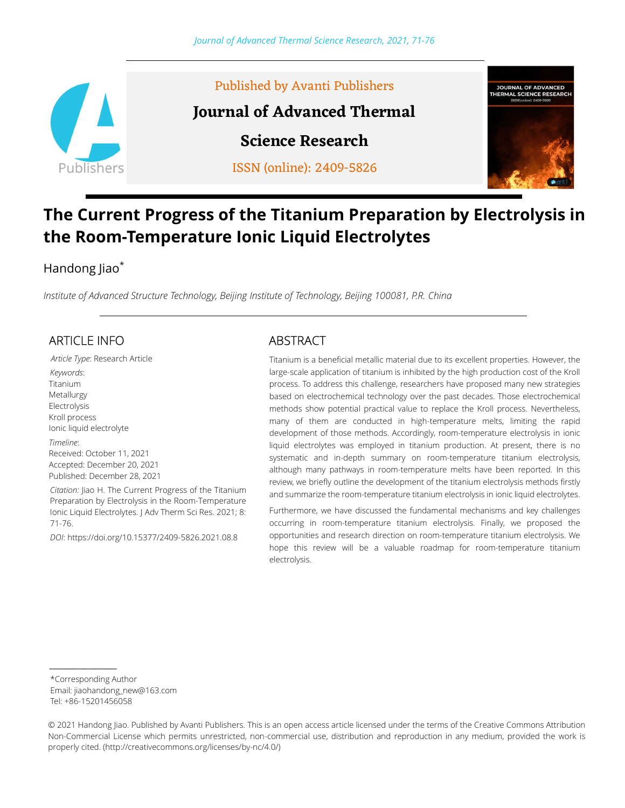

# The Current Progress of the Titanium Preparation by Electrolysis in the Room-Temperature Ionic Liquid Electrolytes

### Handong Jiao\*

Institute of Advanced Structure Technology, Beijing Institute of Technology, Beijing 100081, P.R. China

### ARTICLE INFO

Article Type: Research Article Keywords: Titanium Metallurgy Electrolysis Kroll process Ionic liquid electrolyte Timeline: Received: October 11, 2021 Accepted: December 20, 2021 Published: December 28, 2021

Citation: Jiao H. The Current Progress of the Titanium Preparation by Electrolysis in the Room-Temperature Ionic Liquid Electrolytes. | Adv Therm Sci Res. 2021; 8: 71-76.

DOI: https://doi.org/10.15377/2409-5826.2021.08.8

### ABSTRACT

Titanium is a beneficial metallic material due to its excellent properties. However, the large-scale application of titanium is inhibited by the high production cost of the Kroll process. To address this challenge, researchers have proposed many new strategies based on electrochemical technology over the past decades. Those electrochemical methods show potential practical value to replace the Kroll process. Nevertheless, many of them are conducted in high-temperature melts, limiting the rapid development of those methods. Accordingly, room-temperature electrolysis in ionic liquid electrolytes was employed in titanium production. At present, there is no systematic and in-depth summary on room-temperature titanium electrolysis, although many pathways in room-temperature melts have been reported. In this review, we briefly outline the development of the titanium electrolysis methods firstly and summarize the room-temperature titanium electrolysis in ionic liquid electrolytes.

Furthermore, we have discussed the fundamental mechanisms and key challenges occurring in room-temperature titanium electrolysis. Finally, we proposed the opportunities and research direction on room-temperature titanium electrolysis. We hope this review will be a valuable roadmap for room-temperature titanium electrolysis.

\*Corresponding Author Email: jiaohandong\_new@163.com

Tel: +86-15201456058

\_\_\_\_\_\_\_\_\_\_\_\_\_\_\_\_\_\_\_\_\_

© 2021 Handong Jiao. Published by Avanti Publishers. This is an open access article licensed under the terms of the Creative Commons Attribution Non-Commercial License which permits unrestricted, non-commercial use, distribution and reproduction in any medium, provided the work is properly cited. (http://creativecommons.org/licenses/by-nc/4.0/)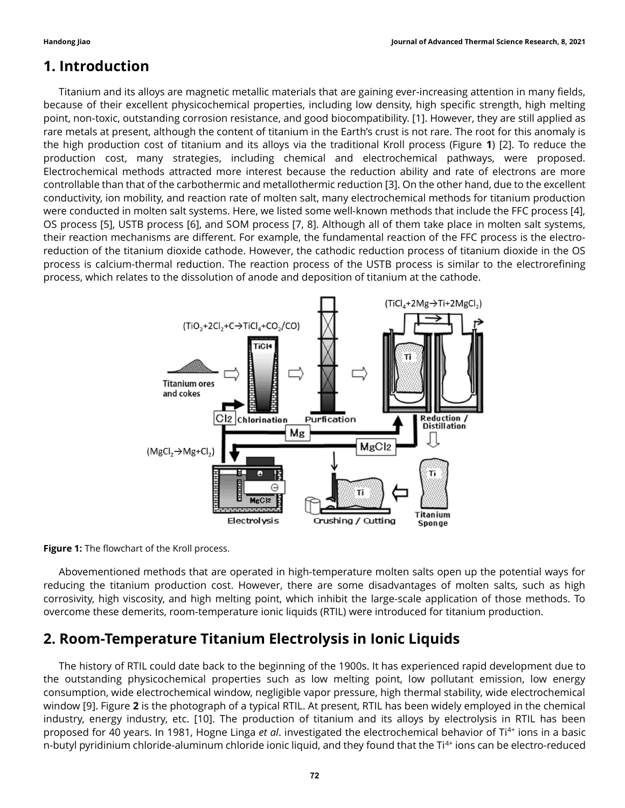### 1. Introduction

Titanium and its alloys are magnetic metallic materials that are gaining ever-increasing attention in many fields, because of their excellent physicochemical properties, including low density, high specific strength, high melting point, non-toxic, outstanding corrosion resistance, and good biocompatibility. [1]. However, they are still applied as rare metals at present, although the content of titanium in the Earth's crust is not rare. The root for this anomaly is the high production cost of titanium and its alloys via the traditional Kroll process (Figure 1) [2]. To reduce the production cost, many strategies, including chemical and electrochemical pathways, were proposed. Electrochemical methods attracted more interest because the reduction ability and rate of electrons are more controllable than that of the carbothermic and metallothermic reduction [3]. On the other hand, due to the excellent conductivity, ion mobility, and reaction rate of molten salt, many electrochemical methods for titanium production were conducted in molten salt systems. Here, we listed some well-known methods that include the FFC process [4], OS process [5], USTB process [6], and SOM process [7, 8]. Although all of them take place in molten salt systems, their reaction mechanisms are different. For example, the fundamental reaction of the FFC process is the electroreduction of the titanium dioxide cathode. However, the cathodic reduction process of titanium dioxide in the OS process is calcium-thermal reduction. The reaction process of the USTB process is similar to the electrorefining process, which relates to the dissolution of anode and deposition of titanium at the cathode.



Figure 1: The flowchart of the Kroll process.

Abovementioned methods that are operated in high-temperature molten salts open up the potential ways for reducing the titanium production cost. However, there are some disadvantages of molten salts, such as high corrosivity, high viscosity, and high melting point, which inhibit the large-scale application of those methods. To overcome these demerits, room-temperature ionic liquids (RTIL) were introduced for titanium production.

## 2. Room-Temperature Titanium Electrolysis in Ionic Liquids

The history of RTIL could date back to the beginning of the 1900s. It has experienced rapid development due to the outstanding physicochemical properties such as low melting point, low pollutant emission, low energy consumption, wide electrochemical window, negligible vapor pressure, high thermal stability, wide electrochemical window [9]. Figure 2 is the photograph of a typical RTIL. At present, RTIL has been widely employed in the chemical industry, energy industry, etc. [10]. The production of titanium and its alloys by electrolysis in RTIL has been proposed for 40 years. In 1981, Hogne Linga et al. investigated the electrochemical behavior of Ti<sup>4+</sup> ions in a basic n-butyl pyridinium chloride-aluminum chloride ionic liquid, and they found that the Ti<sup>4+</sup> ions can be electro-reduced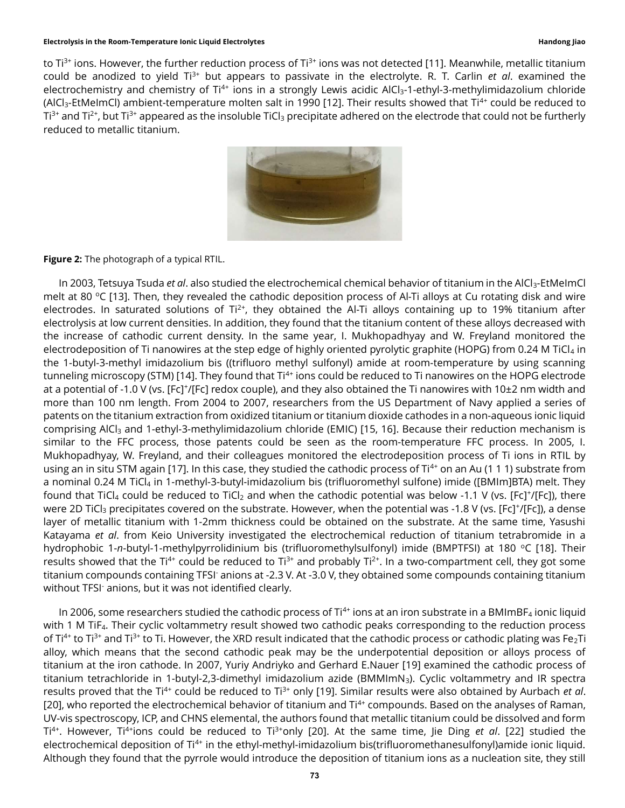### Electrolysis in the Room-Temperature Ionic Liquid Electrolytes Handong Jiao

to Ti<sup>3+</sup> ions. However, the further reduction process of Ti<sup>3+</sup> ions was not detected [11]. Meanwhile, metallic titanium could be anodized to yield  $Ti^{3+}$  but appears to passivate in the electrolyte. R. T. Carlin et al. examined the electrochemistry and chemistry of Ti<sup>4+</sup> ions in a strongly Lewis acidic AlCl<sub>3</sub>-1-ethyl-3-methylimidazolium chloride (AlCl<sub>3</sub>-EtMelmCl) ambient-temperature molten salt in 1990 [12]. Their results showed that Ti<sup>4+</sup> could be reduced to  $Ti^{3+}$  and  $Ti^{2+}$ , but  $Ti^{3+}$  appeared as the insoluble TiCl<sub>3</sub> precipitate adhered on the electrode that could not be furtherly reduced to metallic titanium.



Figure 2: The photograph of a typical RTIL.

In 2003, Tetsuya Tsuda et al. also studied the electrochemical chemical behavior of titanium in the AlCl<sub>3</sub>-EtMeImCl melt at 80  $\degree$ C [13]. Then, they revealed the cathodic deposition process of Al-Ti alloys at Cu rotating disk and wire electrodes. In saturated solutions of  $Ti^{2+}$ , they obtained the Al-Ti alloys containing up to 19% titanium after electrolysis at low current densities. In addition, they found that the titanium content of these alloys decreased with the increase of cathodic current density. In the same year, I. Mukhopadhyay and W. Freyland monitored the electrodeposition of Ti nanowires at the step edge of highly oriented pyrolytic graphite (HOPG) from 0.24 M TiCl<sub>4</sub> in the 1-butyl-3-methyl imidazolium bis ((trifluoro methyl sulfonyl) amide at room-temperature by using scanning tunneling microscopy (STM) [14]. They found that Ti<sup>4+</sup> ions could be reduced to Ti nanowires on the HOPG electrode at a potential of -1.0 V (vs. [Fc]†/[Fc] redox couple), and they also obtained the Ti nanowires with 10±2 nm width and more than 100 nm length. From 2004 to 2007, researchers from the US Department of Navy applied a series of patents on the titanium extraction from oxidized titanium or titanium dioxide cathodes in a non-aqueous ionic liquid comprising AlCl<sub>3</sub> and 1-ethyl-3-methylimidazolium chloride (EMIC) [15, 16]. Because their reduction mechanism is similar to the FFC process, those patents could be seen as the room-temperature FFC process. In 2005, I. Mukhopadhyay, W. Freyland, and their colleagues monitored the electrodeposition process of Ti ions in RTIL by using an in situ STM again [17]. In this case, they studied the cathodic process of  $Ti<sup>4+</sup>$  on an Au (1 1 1) substrate from a nominal 0.24 M TiCl4 in 1-methyl-3-butyl-imidazolium bis (trifluoromethyl sulfone) imide ([BMIm]BTA) melt. They found that TiCl<sub>4</sub> could be reduced to TiCl<sub>2</sub> and when the cathodic potential was below -1.1 V (vs. [Fc]+/[Fc]), there were 2D TiCl<sub>3</sub> precipitates covered on the substrate. However, when the potential was -1.8 V (vs. [Fc]+/[Fc]), a dense layer of metallic titanium with 1-2mm thickness could be obtained on the substrate. At the same time, Yasushi Katayama et al. from Keio University investigated the electrochemical reduction of titanium tetrabromide in a hydrophobic 1-n-butyl-1-methylpyrrolidinium bis (trifluoromethylsulfonyl) imide (BMPTFSI) at 180 °C [18]. Their results showed that the Ti<sup>4+</sup> could be reduced to Ti<sup>3+</sup> and probably Ti<sup>2+</sup>. In a two-compartment cell, they got some titanium compounds containing TFSI<sup>-</sup> anions at -2.3 V. At -3.0 V, they obtained some compounds containing titanium without TFSI- anions, but it was not identified clearly.

In 2006, some researchers studied the cathodic process of  $Ti^{4+}$  ions at an iron substrate in a BMImBF<sub>4</sub> ionic liquid with 1 M TiF<sub>4</sub>. Their cyclic voltammetry result showed two cathodic peaks corresponding to the reduction process of Ti<sup>4+</sup> to Ti<sup>3+</sup> and Ti<sup>3+</sup> to Ti. However, the XRD result indicated that the cathodic process or cathodic plating was Fe<sub>2</sub>Ti alloy, which means that the second cathodic peak may be the underpotential deposition or alloys process of titanium at the iron cathode. In 2007, Yuriy Andriyko and Gerhard E.Nauer [19] examined the cathodic process of titanium tetrachloride in 1-butyl-2,3-dimethyl imidazolium azide (BMMImN<sub>3</sub>). Cyclic voltammetry and IR spectra results proved that the Ti<sup>4+</sup> could be reduced to Ti<sup>3+</sup> only [19]. Similar results were also obtained by Aurbach et al. [20], who reported the electrochemical behavior of titanium and Ti<sup>4+</sup> compounds. Based on the analyses of Raman, UV-vis spectroscopy, ICP, and CHNS elemental, the authors found that metallic titanium could be dissolved and form Ti<sup>4+</sup>. However, Ti<sup>4+</sup>ions could be reduced to Ti<sup>3+</sup>only [20]. At the same time, lie Ding et al. [22] studied the electrochemical deposition of Ti<sup>4+</sup> in the ethyl-methyl-imidazolium bis(trifluoromethanesulfonyl)amide ionic liquid. Although they found that the pyrrole would introduce the deposition of titanium ions as a nucleation site, they still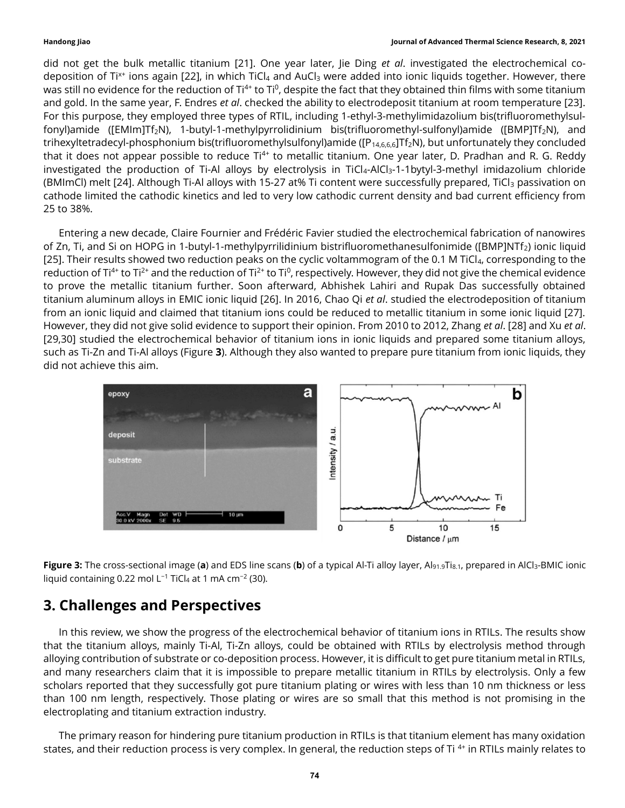did not get the bulk metallic titanium [21]. One year later, Jie Ding et al. investigated the electrochemical codeposition of Ti<sup>x+</sup> ions again [22], in which TiCl<sub>4</sub> and AuCl<sub>3</sub> were added into ionic liquids together. However, there was still no evidence for the reduction of Ti<sup>4+</sup> to Ti<sup>0</sup>, despite the fact that they obtained thin films with some titanium and gold. In the same year, F. Endres et al. checked the ability to electrodeposit titanium at room temperature [23]. For this purpose, they employed three types of RTIL, including 1-ethyl-3-methylimidazolium bis(trifluoromethylsulfonyl)amide ([EMIm]Tf<sub>2</sub>N), 1-butyl-1-methylpyrrolidinium bis(trifluoromethyl-sulfonyl)amide ([BMP]Tf<sub>2</sub>N), and trihexyltetradecyl-phosphonium bis(trifluoromethylsulfonyl)amide ([P<sub>14,6,6,6</sub>]Tf<sub>2</sub>N), but unfortunately they concluded that it does not appear possible to reduce Ti<sup>4+</sup> to metallic titanium. One year later, D. Pradhan and R. G. Reddy investigated the production of Ti-Al alloys by electrolysis in TiCl<sub>4</sub>-AlCl<sub>3</sub>-1-1bytyl-3-methyl imidazolium chloride (BMImCl) melt [24]. Although Ti-Al alloys with 15-27 at% Ti content were successfully prepared, TiCl<sub>3</sub> passivation on cathode limited the cathodic kinetics and led to very low cathodic current density and bad current efficiency from 25 to 38%.

Entering a new decade, Claire Fournier and Frédéric Favier studied the electrochemical fabrication of nanowires of Zn, Ti, and Si on HOPG in 1-butyl-1-methylpyrrilidinium bistrifluoromethanesulfonimide ([BMP]NTf2) ionic liquid [25]. Their results showed two reduction peaks on the cyclic voltammogram of the 0.1 M TiCl<sub>4</sub>, corresponding to the reduction of Ti<sup>4+</sup> to Ti<sup>2+</sup> and the reduction of Ti<sup>2+</sup> to Ti<sup>0</sup>, respectively. However, they did not give the chemical evidence to prove the metallic titanium further. Soon afterward, Abhishek Lahiri and Rupak Das successfully obtained titanium aluminum alloys in EMIC ionic liquid [26]. In 2016, Chao Qi et al. studied the electrodeposition of titanium from an ionic liquid and claimed that titanium ions could be reduced to metallic titanium in some ionic liquid [27]. However, they did not give solid evidence to support their opinion. From 2010 to 2012, Zhang et al. [28] and Xu et al. [29,30] studied the electrochemical behavior of titanium ions in ionic liquids and prepared some titanium alloys, such as Ti-Zn and Ti-Al alloys (Figure 3). Although they also wanted to prepare pure titanium from ionic liquids, they did not achieve this aim.



Figure 3: The cross-sectional image (a) and EDS line scans (b) of a typical Al-Ti alloy layer, Al<sub>91.9</sub>Ti<sub>8.1</sub>, prepared in AlCl<sub>3</sub>-BMIC ionic liquid containing 0.22 mol L−1 TiCl4 at 1 mA cm−2 (30).

## 3. Challenges and Perspectives

In this review, we show the progress of the electrochemical behavior of titanium ions in RTILs. The results show that the titanium alloys, mainly Ti-Al, Ti-Zn alloys, could be obtained with RTILs by electrolysis method through alloying contribution of substrate or co-deposition process. However, it is difficult to get pure titanium metal in RTILs, and many researchers claim that it is impossible to prepare metallic titanium in RTILs by electrolysis. Only a few scholars reported that they successfully got pure titanium plating or wires with less than 10 nm thickness or less than 100 nm length, respectively. Those plating or wires are so small that this method is not promising in the electroplating and titanium extraction industry.

The primary reason for hindering pure titanium production in RTILs is that titanium element has many oxidation states, and their reduction process is very complex. In general, the reduction steps of Ti<sup>4+</sup> in RTILs mainly relates to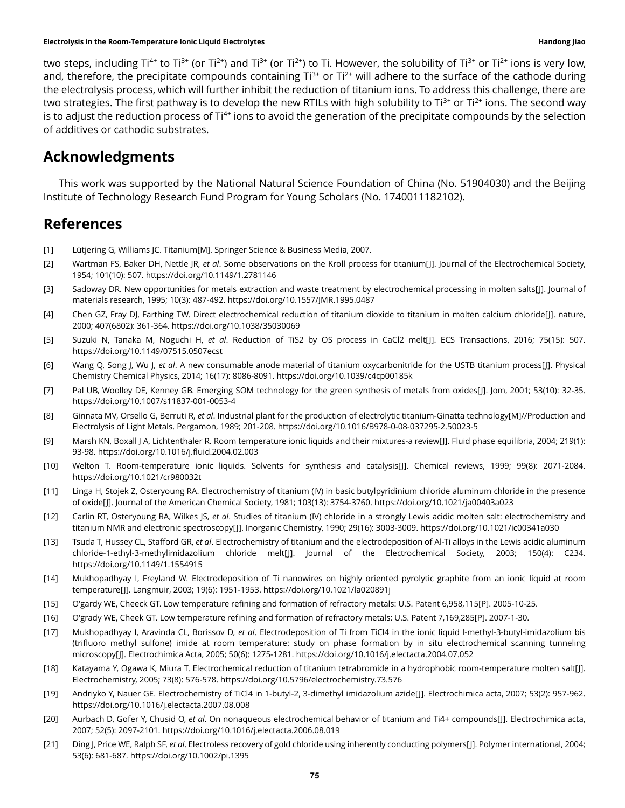two steps, including Ti<sup>4+</sup> to Ti<sup>3+</sup> (or Ti<sup>2+</sup>) and Ti<sup>3+</sup> (or Ti<sup>2+</sup>) to Ti. However, the solubility of Ti<sup>3+</sup> or Ti<sup>2+</sup> ions is very low, and, therefore, the precipitate compounds containing  $Ti^{3+}$  or  $Ti^{2+}$  will adhere to the surface of the cathode during the electrolysis process, which will further inhibit the reduction of titanium ions. To address this challenge, there are two strategies. The first pathway is to develop the new RTILs with high solubility to Ti<sup>3+</sup> or Ti<sup>2+</sup> ions. The second way is to adjust the reduction process of Ti<sup>4+</sup> ions to avoid the generation of the precipitate compounds by the selection of additives or cathodic substrates.

### Acknowledgments

This work was supported by the National Natural Science Foundation of China (No. 51904030) and the Beijing Institute of Technology Research Fund Program for Young Scholars (No. 1740011182102).

### References

- [1] Lütjering G, Williams JC. Titanium[M]. Springer Science & Business Media, 2007.
- [2] Wartman FS, Baker DH, Nettle JR, et al. Some observations on the Kroll process for titanium[J]. Journal of the Electrochemical Society, 1954; 101(10): 507. https://doi.org/10.1149/1.2781146
- [3] Sadoway DR. New opportunities for metals extraction and waste treatment by electrochemical processing in molten salts[J]. Journal of materials research, 1995; 10(3): 487-492. https://doi.org/10.1557/JMR.1995.0487
- [4] Chen GZ, Fray DJ, Farthing TW. Direct electrochemical reduction of titanium dioxide to titanium in molten calcium chloride[J]. nature, 2000; 407(6802): 361-364. https://doi.org/10.1038/35030069
- [5] Suzuki N, Tanaka M, Noguchi H, et al. Reduction of TiS2 by OS process in CaCl2 melt[J]. ECS Transactions, 2016; 75(15): 507. https://doi.org/10.1149/07515.0507ecst
- [6] Wang Q, Song J, Wu J, et al. A new consumable anode material of titanium oxycarbonitride for the USTB titanium process[J]. Physical Chemistry Chemical Physics, 2014; 16(17): 8086-8091. https://doi.org/10.1039/c4cp00185k
- [7] Pal UB, Woolley DE, Kenney GB. Emerging SOM technology for the green synthesis of metals from oxides[J]. Jom, 2001; 53(10): 32-35. https://doi.org/10.1007/s11837-001-0053-4
- [8] Ginnata MV, Orsello G, Berruti R, et al. Industrial plant for the production of electrolytic titanium-Ginatta technology[M]//Production and Electrolysis of Light Metals. Pergamon, 1989; 201-208. https://doi.org/10.1016/B978-0-08-037295-2.50023-5
- [9] Marsh KN, Boxall J A, Lichtenthaler R. Room temperature ionic liquids and their mixtures-a review[J]. Fluid phase equilibria, 2004; 219(1): 93-98. https://doi.org/10.1016/j.fluid.2004.02.003
- [10] Welton T. Room-temperature ionic liquids. Solvents for synthesis and catalysis[J]. Chemical reviews, 1999; 99(8): 2071-2084. https://doi.org/10.1021/cr980032t
- [11] Linga H, Stojek Z, Osteryoung RA. Electrochemistry of titanium (IV) in basic butylpyridinium chloride aluminum chloride in the presence of oxide[J]. Journal of the American Chemical Society, 1981; 103(13): 3754-3760. https://doi.org/10.1021/ja00403a023
- [12] Carlin RT, Osteryoung RA, Wilkes JS, et al. Studies of titanium (IV) chloride in a strongly Lewis acidic molten salt: electrochemistry and titanium NMR and electronic spectroscopy[J]. Inorganic Chemistry, 1990; 29(16): 3003-3009. https://doi.org/10.1021/ic00341a030
- [13] Tsuda T, Hussey CL, Stafford GR, et al. Electrochemistry of titanium and the electrodeposition of Al-Ti alloys in the Lewis acidic aluminum chloride-1-ethyl-3-methylimidazolium chloride melt[J]. Journal of the Electrochemical Society, 2003; 150(4): C234. https://doi.org/10.1149/1.1554915
- [14] Mukhopadhyay I, Freyland W. Electrodeposition of Ti nanowires on highly oriented pyrolytic graphite from an ionic liquid at room temperature[J]. Langmuir, 2003; 19(6): 1951-1953. https://doi.org/10.1021/la020891j
- [15] O'gardy WE, Cheeck GT. Low temperature refining and formation of refractory metals: U.S. Patent 6,958,115[P]. 2005-10-25.
- [16] O'grady WE, Cheek GT. Low temperature refining and formation of refractory metals: U.S. Patent 7,169,285[P]. 2007-1-30.
- [17] Mukhopadhyay I, Aravinda CL, Borissov D, et al. Electrodeposition of Ti from TiCl4 in the ionic liquid l-methyl-3-butyl-imidazolium bis (trifluoro methyl sulfone) imide at room temperature: study on phase formation by in situ electrochemical scanning tunneling microscopy[J]. Electrochimica Acta, 2005; 50(6): 1275-1281. https://doi.org/10.1016/j.electacta.2004.07.052
- [18] Katayama Y, Ogawa K, Miura T. Electrochemical reduction of titanium tetrabromide in a hydrophobic room-temperature molten salt[J]. Electrochemistry, 2005; 73(8): 576-578. https://doi.org/10.5796/electrochemistry.73.576
- [19] Andriyko Y, Nauer GE. Electrochemistry of TiCl4 in 1-butyl-2, 3-dimethyl imidazolium azide[J]. Electrochimica acta, 2007; 53(2): 957-962. https://doi.org/10.1016/j.electacta.2007.08.008
- [20] Aurbach D, Gofer Y, Chusid O, et al. On nonaqueous electrochemical behavior of titanium and Ti4+ compounds[J]. Electrochimica acta, 2007; 52(5): 2097-2101. https://doi.org/10.1016/j.electacta.2006.08.019
- [21] Ding J, Price WE, Ralph SF, et al. Electroless recovery of gold chloride using inherently conducting polymers[J]. Polymer international, 2004; 53(6): 681-687. https://doi.org/10.1002/pi.1395